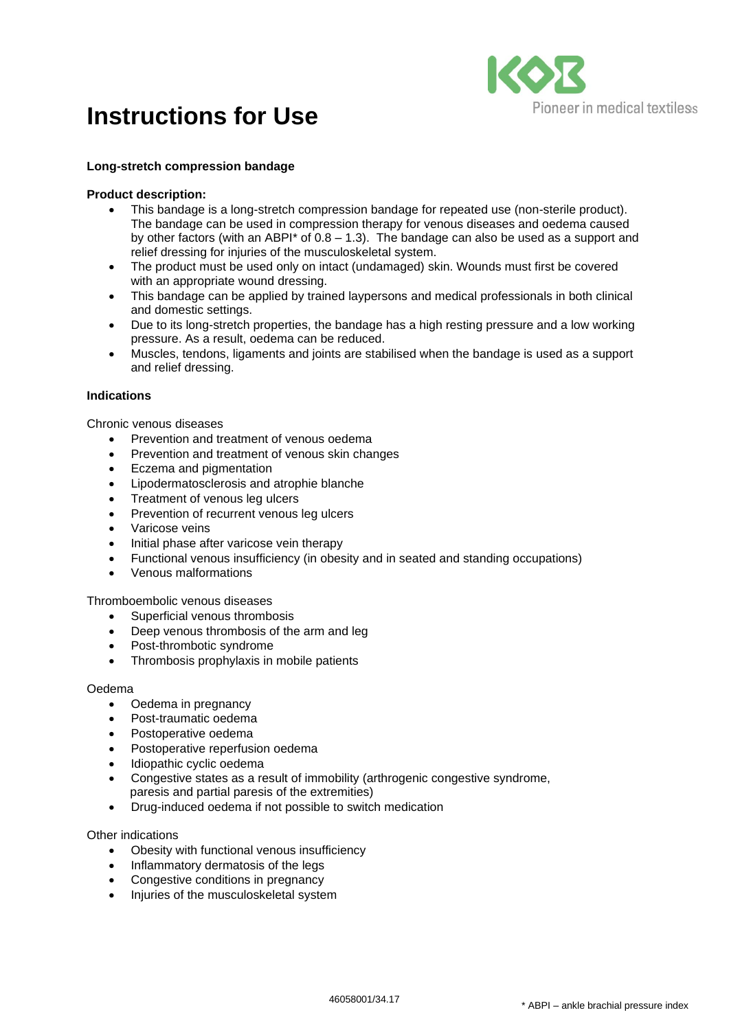# **Instructions for Use**



### **Long-stretch compression bandage**

### **Product description:**

- This bandage is a long-stretch compression bandage for repeated use (non-sterile product). The bandage can be used in compression therapy for venous diseases and oedema caused by other factors (with an ABPI\* of 0.8 – 1.3). The bandage can also be used as a support and relief dressing for injuries of the musculoskeletal system.
- The product must be used only on intact (undamaged) skin. Wounds must first be covered with an appropriate wound dressing.
- This bandage can be applied by trained laypersons and medical professionals in both clinical and domestic settings.
- Due to its long-stretch properties, the bandage has a high resting pressure and a low working pressure. As a result, oedema can be reduced.
- Muscles, tendons, ligaments and joints are stabilised when the bandage is used as a support and relief dressing.

### **Indications**

Chronic venous diseases

- Prevention and treatment of venous oedema
- Prevention and treatment of venous skin changes
- Eczema and pigmentation
- Lipodermatosclerosis and atrophie blanche
- Treatment of venous leg ulcers
- Prevention of recurrent venous leg ulcers
- Varicose veins
- Initial phase after varicose vein therapy
- Functional venous insufficiency (in obesity and in seated and standing occupations)
- Venous malformations

Thromboembolic venous diseases

- Superficial venous thrombosis
- Deep venous thrombosis of the arm and leg
- Post-thrombotic syndrome
- Thrombosis prophylaxis in mobile patients

### Oedema

- Oedema in pregnancy
- Post-traumatic oedema
- Postoperative oedema
- Postoperative reperfusion oedema
- Idiopathic cyclic oedema
- Congestive states as a result of immobility (arthrogenic congestive syndrome, paresis and partial paresis of the extremities)
- Drug-induced oedema if not possible to switch medication

### Other indications

- Obesity with functional venous insufficiency
- Inflammatory dermatosis of the legs
- Congestive conditions in pregnancy
- Injuries of the musculoskeletal system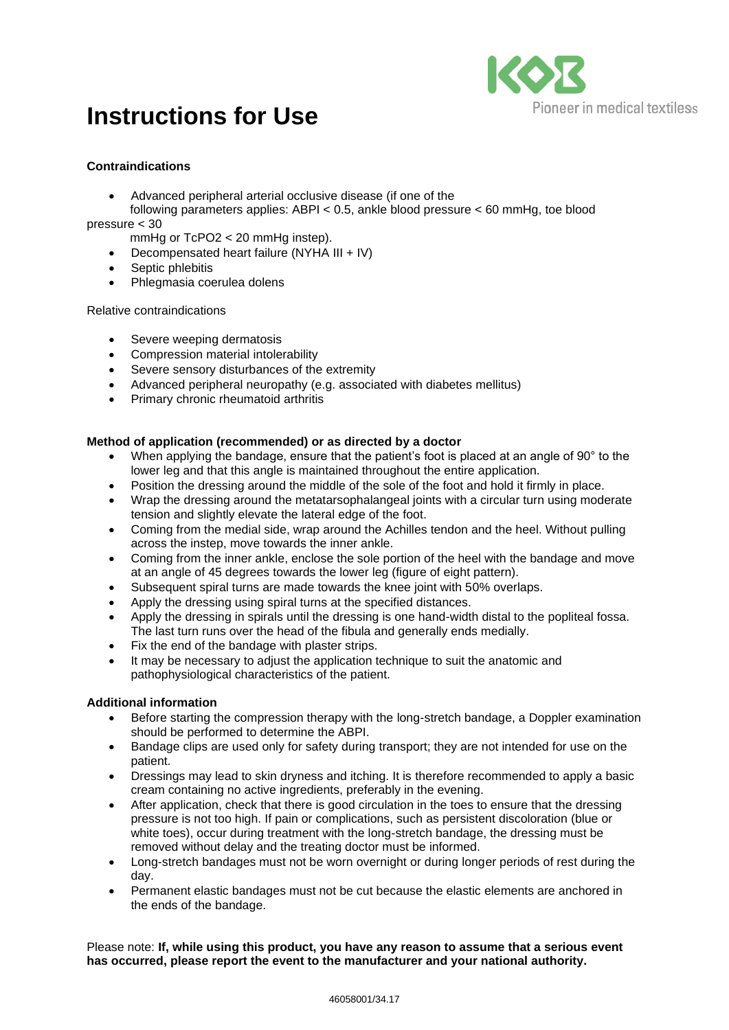# **Instructions for Use**



## **Contraindications**

- Advanced peripheral arterial occlusive disease (if one of the
- following parameters applies: ABPI < 0.5, ankle blood pressure < 60 mmHg, toe blood pressure < 30

mmHg or TcPO2 < 20 mmHg instep).

- Decompensated heart failure (NYHA III + IV)
- Septic phlebitis
- Phlegmasia coerulea dolens

## Relative contraindications

- Severe weeping dermatosis
- Compression material intolerability
- Severe sensory disturbances of the extremity
- Advanced peripheral neuropathy (e.g. associated with diabetes mellitus)
- Primary chronic rheumatoid arthritis

## **Method of application (recommended) or as directed by a doctor**

- When applying the bandage, ensure that the patient's foot is placed at an angle of 90° to the lower leg and that this angle is maintained throughout the entire application.
- Position the dressing around the middle of the sole of the foot and hold it firmly in place.
- Wrap the dressing around the metatarsophalangeal joints with a circular turn using moderate tension and slightly elevate the lateral edge of the foot.
- Coming from the medial side, wrap around the Achilles tendon and the heel. Without pulling across the instep, move towards the inner ankle.
- Coming from the inner ankle, enclose the sole portion of the heel with the bandage and move at an angle of 45 degrees towards the lower leg (figure of eight pattern).
- Subsequent spiral turns are made towards the knee joint with 50% overlaps.
- Apply the dressing using spiral turns at the specified distances.
- Apply the dressing in spirals until the dressing is one hand-width distal to the popliteal fossa. The last turn runs over the head of the fibula and generally ends medially.
- Fix the end of the bandage with plaster strips.
- It may be necessary to adjust the application technique to suit the anatomic and pathophysiological characteristics of the patient.

## **Additional information**

- Before starting the compression therapy with the long-stretch bandage, a Doppler examination should be performed to determine the ABPI.
- Bandage clips are used only for safety during transport; they are not intended for use on the patient.
- Dressings may lead to skin dryness and itching. It is therefore recommended to apply a basic cream containing no active ingredients, preferably in the evening.
- After application, check that there is good circulation in the toes to ensure that the dressing pressure is not too high. If pain or complications, such as persistent discoloration (blue or white toes), occur during treatment with the long-stretch bandage, the dressing must be removed without delay and the treating doctor must be informed.
- Long-stretch bandages must not be worn overnight or during longer periods of rest during the day.
- Permanent elastic bandages must not be cut because the elastic elements are anchored in the ends of the bandage.

Please note: **If, while using this product, you have any reason to assume that a serious event has occurred, please report the event to the manufacturer and your national authority.**